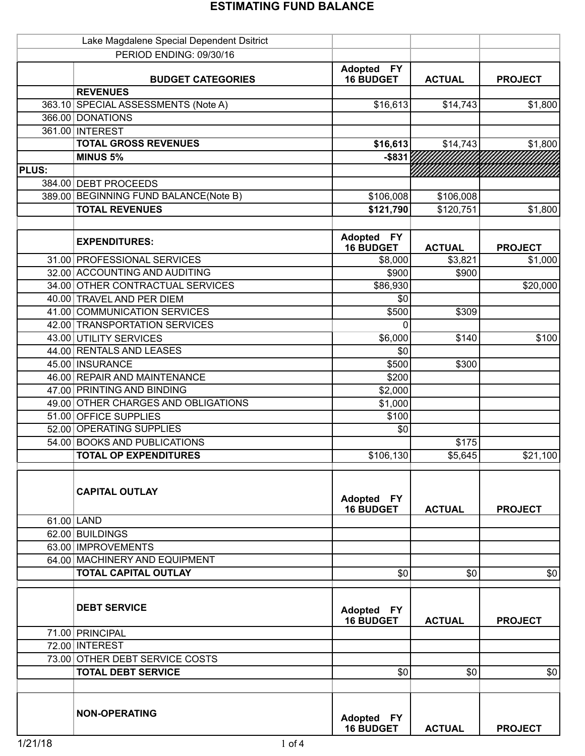|              | Lake Magdalene Special Dependent Dsitrict |                                                 |               |                |
|--------------|-------------------------------------------|-------------------------------------------------|---------------|----------------|
|              | PERIOD ENDING: 09/30/16                   |                                                 |               |                |
|              | <b>BUDGET CATEGORIES</b>                  | <b>Adopted</b><br><b>FY</b><br><b>16 BUDGET</b> | <b>ACTUAL</b> | <b>PROJECT</b> |
|              | <b>REVENUES</b>                           |                                                 |               |                |
|              | 363.10 SPECIAL ASSESSMENTS (Note A)       | \$16,613                                        | \$14,743      | \$1,800        |
|              | 366.00 DONATIONS                          |                                                 |               |                |
|              | 361.00 INTEREST                           |                                                 |               |                |
|              | <b>TOTAL GROSS REVENUES</b>               | \$16,613                                        | \$14,743      | \$1,800        |
|              | <b>MINUS 5%</b>                           | $-$ \$831                                       |               |                |
| <b>PLUS:</b> |                                           |                                                 |               |                |
|              | 384.00 DEBT PROCEEDS                      |                                                 |               |                |
|              | 389.00 BEGINNING FUND BALANCE(Note B)     | \$106,008                                       | \$106,008     |                |
|              | <b>TOTAL REVENUES</b>                     | \$121,790                                       | \$120,751     | \$1,800        |
|              |                                           |                                                 |               |                |
|              | <b>EXPENDITURES:</b>                      | <b>Adopted</b><br><b>FY</b><br><b>16 BUDGET</b> | <b>ACTUAL</b> | <b>PROJECT</b> |
|              | 31.00 PROFESSIONAL SERVICES               | \$8,000                                         | \$3,821       | \$1,000        |
|              | 32.00 ACCOUNTING AND AUDITING             | \$900                                           | \$900         |                |
|              | 34.00 OTHER CONTRACTUAL SERVICES          | \$86,930                                        |               | \$20,000       |
|              | 40.00 TRAVEL AND PER DIEM                 | \$0                                             |               |                |
|              | 41.00 COMMUNICATION SERVICES              | \$500                                           | \$309         |                |
|              | 42.00 TRANSPORTATION SERVICES             | 0                                               |               |                |
|              | 43.00 UTILITY SERVICES                    | \$6,000                                         | \$140         | \$100          |
|              | 44.00 RENTALS AND LEASES                  | \$0                                             |               |                |
|              | 45.00 INSURANCE                           | \$500                                           | \$300         |                |
|              | 46.00 REPAIR AND MAINTENANCE              | \$200                                           |               |                |
|              | 47.00 PRINTING AND BINDING                | \$2,000                                         |               |                |
|              | 49.00 OTHER CHARGES AND OBLIGATIONS       | \$1,000                                         |               |                |
|              | 51.00 OFFICE SUPPLIES                     | \$100                                           |               |                |
|              | 52.00 OPERATING SUPPLIES                  | \$0                                             |               |                |
|              | 54.00 BOOKS AND PUBLICATIONS              |                                                 | \$175         |                |
|              | <b>TOTAL OP EXPENDITURES</b>              | \$106,130                                       | \$5,645       | \$21,100       |
|              |                                           |                                                 |               |                |
|              | <b>CAPITAL OUTLAY</b>                     | Adopted FY<br><b>16 BUDGET</b>                  | <b>ACTUAL</b> | <b>PROJECT</b> |
|              | 61.00 LAND                                |                                                 |               |                |
|              | 62.00 BUILDINGS                           |                                                 |               |                |
|              | 63.00 IMPROVEMENTS                        |                                                 |               |                |
|              | 64.00 MACHINERY AND EQUIPMENT             |                                                 |               |                |
|              | <b>TOTAL CAPITAL OUTLAY</b>               | \$0                                             | \$0           | \$0            |
|              | <b>DEBT SERVICE</b>                       | Adopted FY<br><b>16 BUDGET</b>                  | <b>ACTUAL</b> | <b>PROJECT</b> |
|              | 71.00 PRINCIPAL                           |                                                 |               |                |
|              | 72.00 INTEREST                            |                                                 |               |                |
|              | 73.00 OTHER DEBT SERVICE COSTS            |                                                 |               |                |
|              | <b>TOTAL DEBT SERVICE</b>                 | \$0                                             | \$0           | \$0            |
|              |                                           |                                                 |               |                |
|              | <b>NON-OPERATING</b>                      | Adopted FY<br><b>16 BUDGET</b>                  | <b>ACTUAL</b> | <b>PROJECT</b> |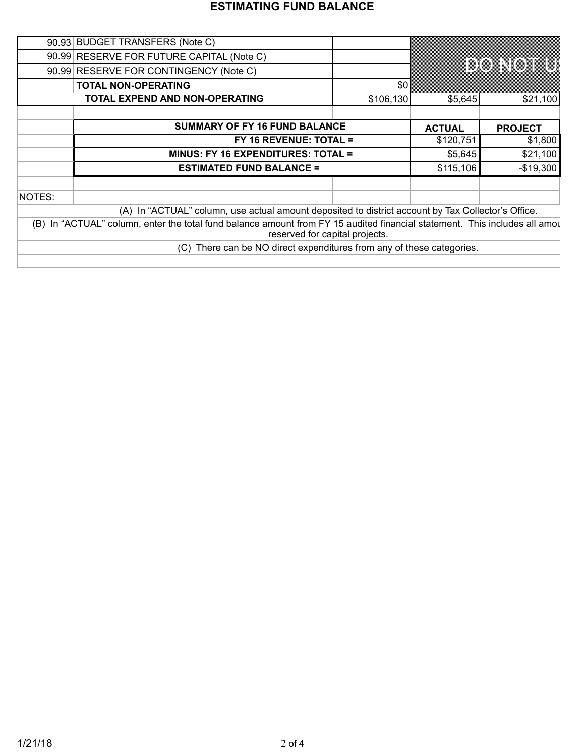|        | 90.93 BUDGET TRANSFERS (Note C)                                                                                                                          |           |               |                |
|--------|----------------------------------------------------------------------------------------------------------------------------------------------------------|-----------|---------------|----------------|
|        | 90.99 RESERVE FOR FUTURE CAPITAL (Note C)                                                                                                                |           |               |                |
|        | 90.99 RESERVE FOR CONTINGENCY (Note C)                                                                                                                   |           |               | exerxer        |
|        | <b>TOTAL NON-OPERATING</b>                                                                                                                               | \$0       |               |                |
|        | <b>TOTAL EXPEND AND NON-OPERATING</b>                                                                                                                    | \$106,130 | \$5,645       | \$21,100       |
|        |                                                                                                                                                          |           |               |                |
|        | <b>SUMMARY OF FY 16 FUND BALANCE</b>                                                                                                                     |           | <b>ACTUAL</b> | <b>PROJECT</b> |
|        | $FY$ 16 REVENUE: TOTAL =                                                                                                                                 |           | \$120,751     | \$1,800        |
|        | <b>MINUS: FY 16 EXPENDITURES: TOTAL =</b>                                                                                                                |           | \$5,645       | \$21,100       |
|        | <b>ESTIMATED FUND BALANCE =</b>                                                                                                                          |           | \$115,106     | $-$19,300$     |
|        |                                                                                                                                                          |           |               |                |
| NOTES: |                                                                                                                                                          |           |               |                |
|        | (A) In "ACTUAL" column, use actual amount deposited to district account by Tax Collector's Office.                                                       |           |               |                |
| (B)    | In "ACTUAL" column, enter the total fund balance amount from FY 15 audited financial statement. This includes all amou<br>reserved for capital projects. |           |               |                |
|        | There can be NO direct expenditures from any of these categories.<br>(C)                                                                                 |           |               |                |
|        |                                                                                                                                                          |           |               |                |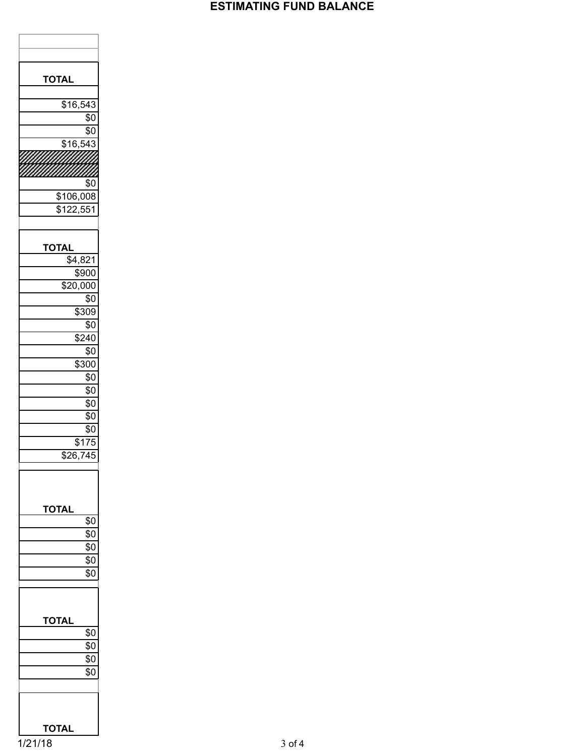| TOTAL                |
|----------------------|
|                      |
| \$16,543             |
| \$0                  |
| \$0                  |
| $\overline{$16,543}$ |
|                      |
|                      |
|                      |
| \$0                  |
| \$106,008            |
| \$122,551            |
|                      |
| TOTAL                |
| \$4,821              |
| \$900                |
| \$20,000             |
| \$0                  |
| \$309                |
|                      |
| \$0                  |
| \$240                |
| \$0                  |
| \$300                |
| $\sqrt[6]{9}$        |
| \$0                  |
| \$0                  |
| \$0                  |
| \$0                  |
| \$175                |
| $\overline{$}26,745$ |
|                      |
|                      |
| <b>TOTAL</b>         |
| \$0                  |
| $\overline{\$0}$     |
| $\overline{\$0}$     |
| \$0                  |
| $\overline{50}$      |
|                      |
|                      |
|                      |
| TOTAL                |
| $\sqrt{6}$           |
| \$0                  |
| $\sqrt{6}$           |
| \$0                  |
|                      |
|                      |
|                      |
|                      |
| TOTAL                |

1/21/18 3 of 4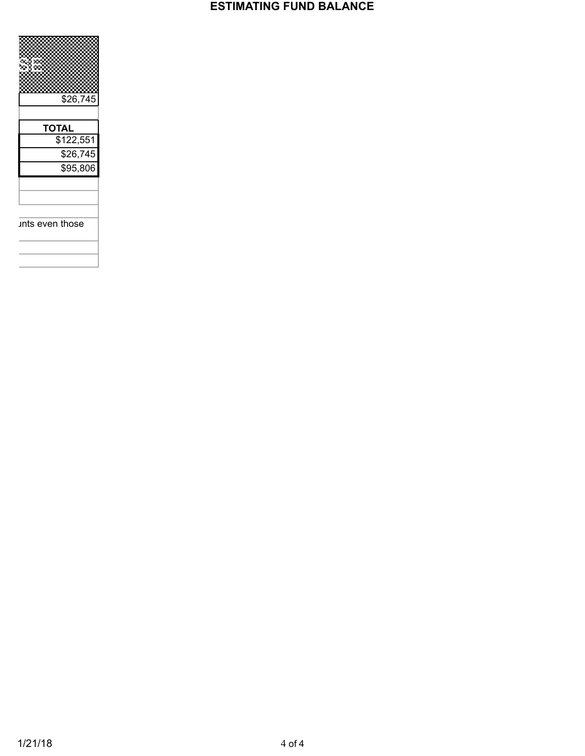

ints even those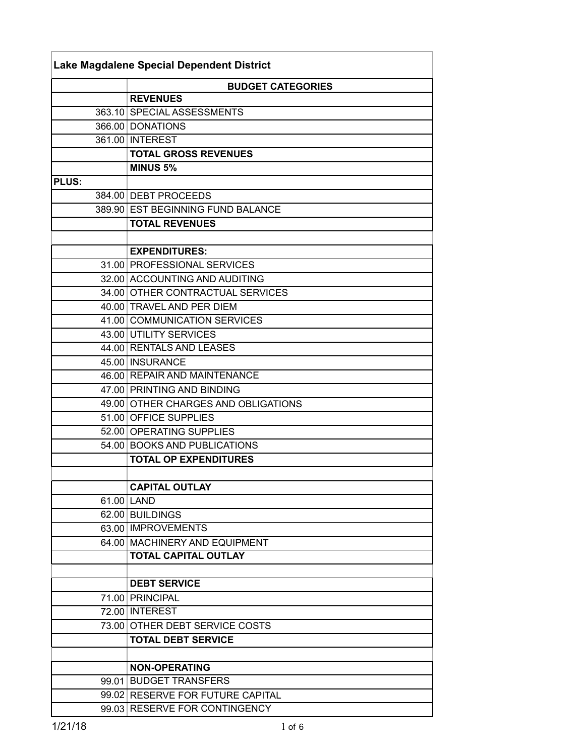| Lake Magdalene Special Dependent District |                                                                   |  |  |
|-------------------------------------------|-------------------------------------------------------------------|--|--|
|                                           | <b>BUDGET CATEGORIES</b>                                          |  |  |
|                                           | <b>REVENUES</b>                                                   |  |  |
|                                           | 363.10 SPECIAL ASSESSMENTS                                        |  |  |
|                                           | 366.00 DONATIONS                                                  |  |  |
|                                           | 361.00 INTEREST                                                   |  |  |
|                                           | <b>TOTAL GROSS REVENUES</b>                                       |  |  |
|                                           | MINUS <sub>5%</sub>                                               |  |  |
| <b>PLUS:</b>                              |                                                                   |  |  |
|                                           | 384.00 DEBT PROCEEDS                                              |  |  |
|                                           | 389.90 EST BEGINNING FUND BALANCE                                 |  |  |
|                                           | <b>TOTAL REVENUES</b>                                             |  |  |
|                                           |                                                                   |  |  |
|                                           | <b>EXPENDITURES:</b>                                              |  |  |
|                                           | 31.00 PROFESSIONAL SERVICES                                       |  |  |
|                                           | 32.00 ACCOUNTING AND AUDITING                                     |  |  |
|                                           | 34.00 OTHER CONTRACTUAL SERVICES                                  |  |  |
|                                           | 40.00 TRAVEL AND PER DIEM                                         |  |  |
|                                           | 41.00 COMMUNICATION SERVICES                                      |  |  |
|                                           | 43.00 UTILITY SERVICES                                            |  |  |
|                                           | 44.00 RENTALS AND LEASES                                          |  |  |
|                                           | 45.00 INSURANCE                                                   |  |  |
|                                           | 46.00 REPAIR AND MAINTENANCE                                      |  |  |
|                                           | 47.00 PRINTING AND BINDING                                        |  |  |
|                                           | 49.00 OTHER CHARGES AND OBLIGATIONS                               |  |  |
|                                           | 51.00 OFFICE SUPPLIES                                             |  |  |
|                                           | 52.00 OPERATING SUPPLIES                                          |  |  |
|                                           | 54.00 BOOKS AND PUBLICATIONS                                      |  |  |
|                                           | <b>TOTAL OP EXPENDITURES</b>                                      |  |  |
|                                           |                                                                   |  |  |
|                                           | <b>CAPITAL OUTLAY</b>                                             |  |  |
|                                           | 61.00 LAND                                                        |  |  |
|                                           | 62.00 BUILDINGS                                                   |  |  |
|                                           | 63.00 IMPROVEMENTS                                                |  |  |
|                                           | 64.00 MACHINERY AND EQUIPMENT                                     |  |  |
|                                           | <b>TOTAL CAPITAL OUTLAY</b>                                       |  |  |
|                                           |                                                                   |  |  |
|                                           | <b>DEBT SERVICE</b>                                               |  |  |
|                                           | 71.00 PRINCIPAL<br>72.00 INTEREST                                 |  |  |
|                                           | 73.00 OTHER DEBT SERVICE COSTS                                    |  |  |
|                                           |                                                                   |  |  |
|                                           | <b>TOTAL DEBT SERVICE</b>                                         |  |  |
|                                           |                                                                   |  |  |
|                                           | <b>NON-OPERATING</b><br>99.01 BUDGET TRANSFERS                    |  |  |
|                                           |                                                                   |  |  |
|                                           | 99.02 RESERVE FOR FUTURE CAPITAL<br>99.03 RESERVE FOR CONTINGENCY |  |  |
|                                           |                                                                   |  |  |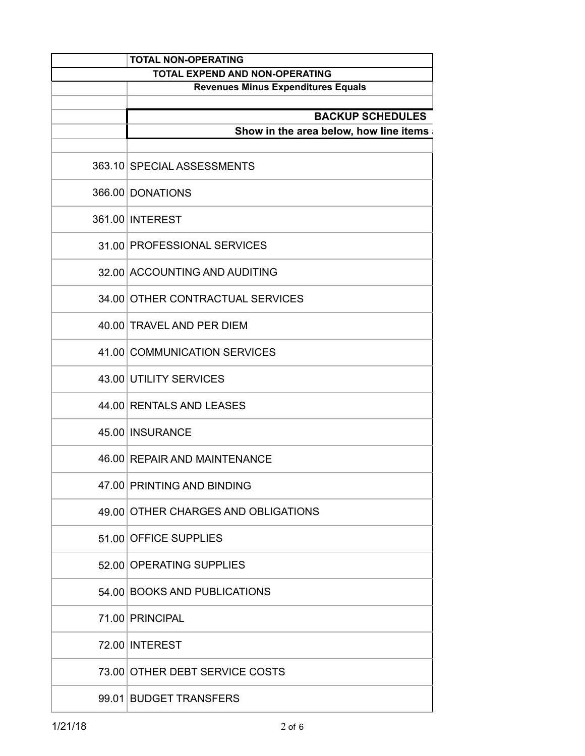| <b>TOTAL NON-OPERATING</b>                |
|-------------------------------------------|
| TOTAL EXPEND AND NON-OPERATING            |
| <b>Revenues Minus Expenditures Equals</b> |
| <b>BACKUP SCHEDULES</b>                   |
| Show in the area below, how line items    |
|                                           |
| 363.10 SPECIAL ASSESSMENTS                |
| 366.00 DONATIONS                          |
| 361.00 INTEREST                           |
| 31.00 PROFESSIONAL SERVICES               |
| 32.00 ACCOUNTING AND AUDITING             |
| 34.00 OTHER CONTRACTUAL SERVICES          |
| 40.00 TRAVEL AND PER DIEM                 |
| 41.00 COMMUNICATION SERVICES              |
| 43.00 UTILITY SERVICES                    |
| 44.00 RENTALS AND LEASES                  |
| 45.00 INSURANCE                           |
| 46.00 REPAIR AND MAINTENANCE              |
| 47.00 PRINTING AND BINDING                |
| 49.00 OTHER CHARGES AND OBLIGATIONS       |
| 51.00 OFFICE SUPPLIES                     |
| 52.00 OPERATING SUPPLIES                  |
| 54.00 BOOKS AND PUBLICATIONS              |
| 71.00 PRINCIPAL                           |
| 72.00 INTEREST                            |
| 73.00 OTHER DEBT SERVICE COSTS            |
| 99.01 BUDGET TRANSFERS                    |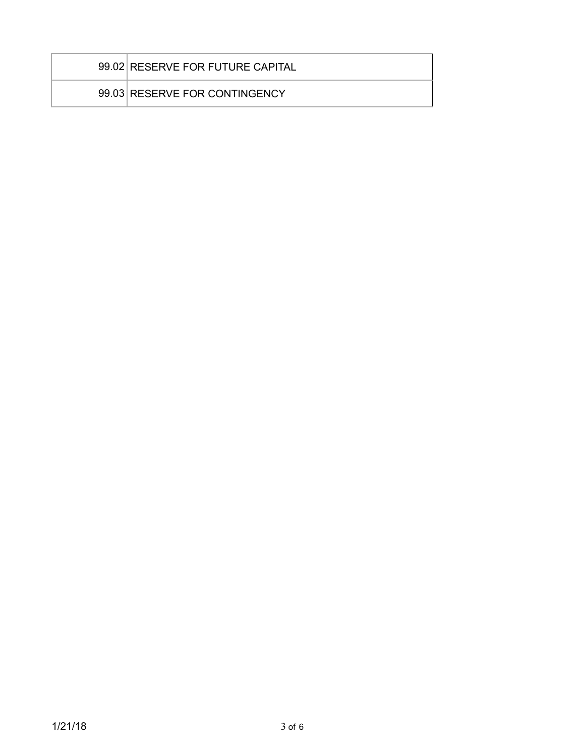| 99.02 RESERVE FOR FUTURE CAPITAL |
|----------------------------------|
| 99.03 RESERVE FOR CONTINGENCY    |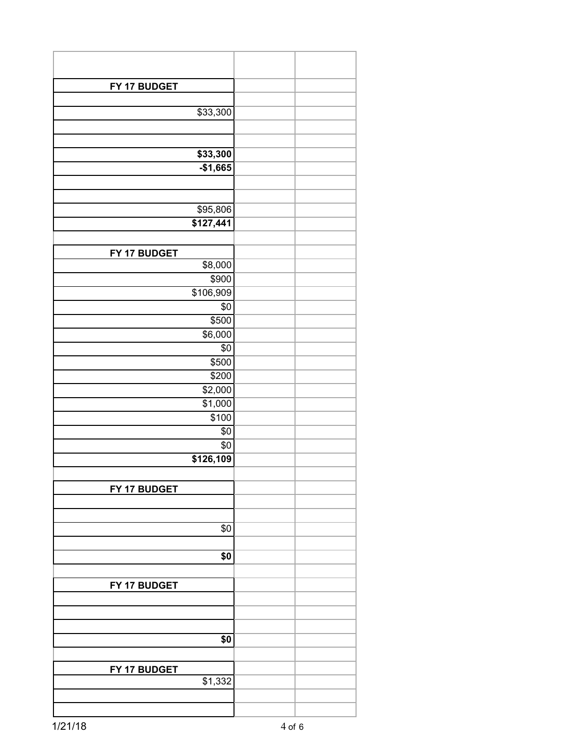| FY 17 BUDGET            |  |
|-------------------------|--|
|                         |  |
| \$33,300                |  |
|                         |  |
|                         |  |
| \$33,300                |  |
| $-$1,665$               |  |
|                         |  |
|                         |  |
| \$95,806                |  |
| \$127,441               |  |
|                         |  |
|                         |  |
| FY 17 BUDGET<br>\$8,000 |  |
| \$900                   |  |
| \$106,909               |  |
| \$0                     |  |
| \$500                   |  |
| \$6,000                 |  |
| \$0                     |  |
| $\overline{$500}$       |  |
| \$200                   |  |
|                         |  |
| \$2,000<br>\$1,000      |  |
|                         |  |
| \$100<br>\$0            |  |
|                         |  |
| \$0                     |  |
| \$126,109               |  |
|                         |  |
| FY 17 BUDGET            |  |
|                         |  |
|                         |  |
| \$0                     |  |
|                         |  |
| \$0                     |  |
|                         |  |
| FY 17 BUDGET            |  |
|                         |  |
|                         |  |
|                         |  |
| \$0                     |  |
|                         |  |
| FY 17 BUDGET            |  |
| \$1,332                 |  |
|                         |  |
|                         |  |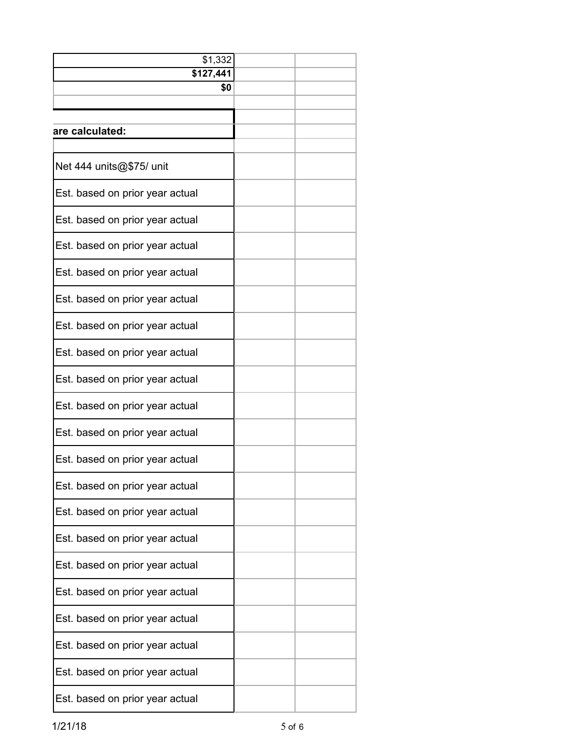| \$1,332                         |  |  |
|---------------------------------|--|--|
| $\sqrt{$127,441}$               |  |  |
| \$0                             |  |  |
|                                 |  |  |
| are calculated:                 |  |  |
| Net 444 units@\$75/ unit        |  |  |
| Est. based on prior year actual |  |  |
| Est. based on prior year actual |  |  |
| Est. based on prior year actual |  |  |
| Est. based on prior year actual |  |  |
| Est. based on prior year actual |  |  |
| Est. based on prior year actual |  |  |
| Est. based on prior year actual |  |  |
| Est. based on prior year actual |  |  |
| Est. based on prior year actual |  |  |
| Est. based on prior year actual |  |  |
| Est. based on prior year actual |  |  |
| Est. based on prior year actual |  |  |
| Est. based on prior year actual |  |  |
| Est. based on prior year actual |  |  |
| Est. based on prior year actual |  |  |
| Est. based on prior year actual |  |  |
| Est. based on prior year actual |  |  |
| Est. based on prior year actual |  |  |
| Est. based on prior year actual |  |  |
| Est. based on prior year actual |  |  |